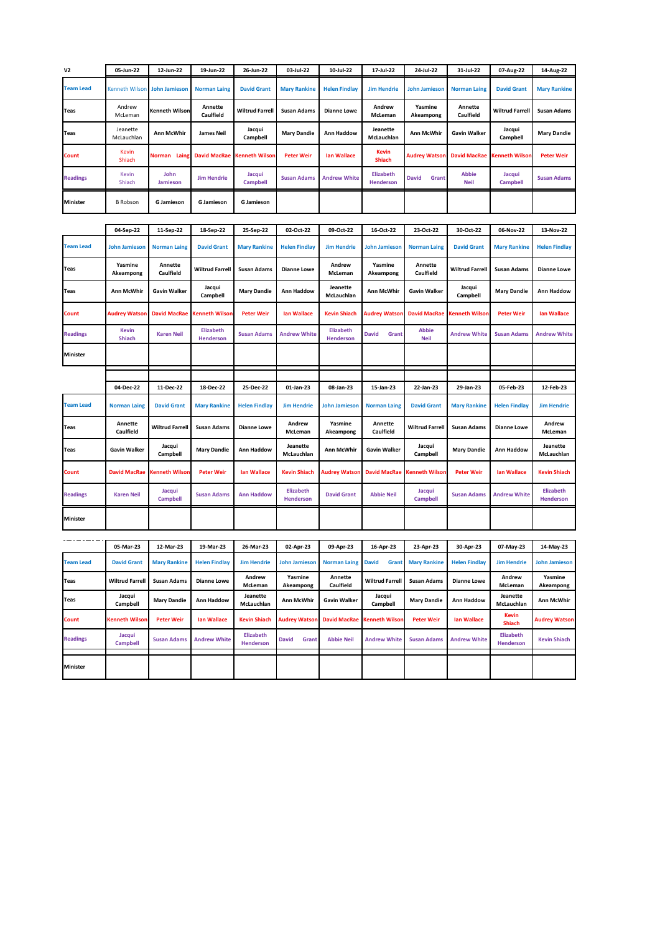| V <sub>2</sub>   | 05-Jun-22                 | 12-Jun-22                 | 19-Jun-22                     | 26-Jun-22                     | 03-Jul-22                            | 10-Jul-22              | 17-Jul-22                     | 24-Jul-22                   | 31-Jul-22                   | 07-Aug-22                            | 14-Aug-22                     |
|------------------|---------------------------|---------------------------|-------------------------------|-------------------------------|--------------------------------------|------------------------|-------------------------------|-----------------------------|-----------------------------|--------------------------------------|-------------------------------|
| <b>Team Lead</b> | <b>Kenneth Wilsor</b>     | <b>John Jamieson</b>      | <b>Norman Laing</b>           | <b>David Grant</b>            | <b>Mary Rankine</b>                  | <b>Helen Findlay</b>   | <b>Jim Hendrie</b>            | <b>John Jamieson</b>        | <b>Norman Laing</b>         | <b>David Grant</b>                   | <b>Mary Rankine</b>           |
| Teas             | Andrew<br>McLeman         | Kenneth Wilson            | Annette<br>Caulfield          | <b>Wiltrud Farrell</b>        | <b>Susan Adams</b>                   | <b>Dianne Lowe</b>     | Andrew<br>McLeman             | Yasmine<br>Akeampong        | Annette<br>Caulfield        | <b>Wiltrud Farrell</b>               | <b>Susan Adams</b>            |
| Teas             | Jeanette<br>McLauchlan    | <b>Ann McWhir</b>         | <b>James Neil</b>             | Jacqui<br>Campbell            | <b>Mary Dandie</b>                   | Ann Haddow             | Jeanette<br>McLauchlan        | <b>Ann McWhir</b>           | <b>Gavin Walker</b>         | Jacqui<br>Campbell                   | <b>Mary Dandie</b>            |
| Count            | <b>Kevin</b><br>Shiach    | Norman Laing              | <b>David MacRae</b>           | Kenneth Wilsor                | <b>Peter Weir</b>                    | lan Wallace            | <b>Kevin</b><br><b>Shiach</b> | <b>Audrey Watson</b>        | David MacRae                | Kenneth Wilson                       | <b>Peter Weir</b>             |
| <b>Readings</b>  | Kevin<br>Shiach           | John<br>Jamieson          | <b>Jim Hendrie</b>            | Jacqui<br><b>Campbell</b>     | <b>Susan Adams</b>                   | <b>Andrew White</b>    | Elizabeth<br><b>Henderson</b> | <b>David</b><br>Grant       | <b>Abbie</b><br><b>Neil</b> | Jacqui<br>Campbell                   | <b>Susan Adams</b>            |
| Minister         | B Robson                  | <b>G</b> Jamieson         | <b>G</b> Jamieson             | <b>G</b> Jamieson             |                                      |                        |                               |                             |                             |                                      |                               |
|                  |                           |                           |                               |                               |                                      |                        |                               |                             |                             |                                      |                               |
|                  | 04-Sep-22                 | 11-Sep-22                 | 18-Sep-22                     | 25-Sep-22                     | 02-Oct-22                            | 09-Oct-22              | 16-Oct-22                     | 23-Oct-22                   | 30-Oct-22                   | 06-Nov-22                            | 13-Nov-22                     |
| <b>Team Lead</b> | <b>John Jamieson</b>      | <b>Norman Laing</b>       | <b>David Grant</b>            | <b>Mary Rankine</b>           | <b>Helen Findlay</b>                 | <b>Jim Hendrie</b>     | <b>John Jamieson</b>          | <b>Norman Laing</b>         | <b>David Grant</b>          | <b>Mary Rankine</b>                  | <b>Helen Findlay</b>          |
| Teas             | Yasmine<br>Akeampong      | Annette<br>Caulfield      | <b>Wiltrud Farrell</b>        | <b>Susan Adams</b>            | <b>Dianne Lowe</b>                   | Andrew<br>McLeman      | Yasmine<br>Akeampong          | Annette<br>Caulfield        | <b>Wiltrud Farrell</b>      | <b>Susan Adams</b>                   | <b>Dianne Lowe</b>            |
| Teas             | Ann McWhir                | <b>Gavin Walker</b>       | Jacqui<br>Campbell            | <b>Mary Dandie</b>            | Ann Haddow                           | Jeanette<br>McLauchlan | Ann McWhir                    | <b>Gavin Walker</b>         | Jacqui<br>Campbell          | <b>Mary Dandie</b>                   | <b>Ann Haddow</b>             |
| Count            | Audrey Watsor             | <b>David MacRae</b>       | Cenneth Wilson                | <b>Peter Weir</b>             | lan Wallace                          | Kevin Shiach           | <b>Audrey Watson</b>          | <b>David MacRae</b>         | Kenneth Wilsor              | <b>Peter Weir</b>                    | lan Wallace                   |
| <b>Readings</b>  | <b>Kevin</b><br>Shiach    | <b>Karen Neil</b>         | Elizabeth<br><b>Henderson</b> | <b>Susan Adams</b>            | <b>Andrew White</b>                  | Elizabeth<br>Henderson | <b>David</b><br>Grant         | <b>Abbie</b><br><b>Neil</b> | <b>Andrew White</b>         | <b>Susan Adams</b>                   | <b>Andrew White</b>           |
| <b>Minister</b>  |                           |                           |                               |                               |                                      |                        |                               |                             |                             |                                      |                               |
|                  |                           |                           |                               |                               |                                      |                        |                               |                             |                             |                                      |                               |
|                  | 04-Dec-22                 | 11-Dec-22                 | 18-Dec-22                     | 25-Dec-22                     | 01-Jan-23                            | 08-Jan-23              | 15-Jan-23                     | 22-Jan-23                   | 29-Jan-23                   | 05-Feb-23                            | 12-Feb-23                     |
| <b>Team Lead</b> | <b>Norman Laing</b>       | <b>David Grant</b>        | <b>Mary Rankine</b>           | <b>Helen Findlay</b>          | <b>Jim Hendrie</b>                   | <b>John Jamieson</b>   | <b>Norman Laing</b>           | <b>David Grant</b>          | <b>Mary Rankine</b>         | <b>Helen Findlay</b>                 | <b>Jim Hendrie</b>            |
| <b>Teas</b>      | Annette<br>Caulfield      | <b>Wiltrud Farrell</b>    | <b>Susan Adams</b>            | <b>Dianne Lowe</b>            | Andrew<br>McLeman                    | Yasmine<br>Akeampong   | Annette<br>Caulfield          | <b>Wiltrud Farrell</b>      | <b>Susan Adams</b>          | <b>Dianne Lowe</b>                   | Andrew<br>McLeman             |
| Teas             | <b>Gavin Walker</b>       | Jacqui<br>Campbell        | <b>Mary Dandie</b>            | <b>Ann Haddow</b>             | Jeanette<br>McLauchlan               | Ann McWhir             | <b>Gavin Walker</b>           | Jacqui<br>Campbell          | <b>Mary Dandie</b>          | Ann Haddow                           | Jeanette<br>McLauchlan        |
| Count            | <b>David MacRae</b>       | Kenneth Wilson            | <b>Peter Weir</b>             | <b>Ian Wallace</b>            | <b>Kevin Shiach</b>                  | <b>Audrey Watsor</b>   | <b>David MacRae</b>           | Kenneth Wilsor              | <b>Peter Weir</b>           | lan Wallace                          | <b>Kevin Shiach</b>           |
| <b>Readings</b>  | <b>Karen Neil</b>         | Jacqui<br><b>Campbell</b> | <b>Susan Adams</b>            | <b>Ann Haddow</b>             | <b>Elizabeth</b><br><b>Henderson</b> | <b>David Grant</b>     | <b>Abbie Neil</b>             | Jacqui<br><b>Campbell</b>   | <b>Susan Adams</b>          | <b>Andrew White</b>                  | <b>Elizabeth</b><br>Henderson |
| Minister         |                           |                           |                               |                               |                                      |                        |                               |                             |                             |                                      |                               |
|                  |                           |                           |                               |                               |                                      |                        |                               |                             |                             |                                      |                               |
|                  | 05-Mar-23                 | 12-Mar-23                 | 19-Mar-23                     | 26-Mar-23                     | 02-Apr-23                            | 09-Apr-23              | 16-Apr-23                     | 23-Apr-23                   | 30-Apr-23                   | 07-May-23                            | 14-May-23                     |
| <b>Team Lead</b> | <b>David Grant</b>        | <b>Mary Rankine</b>       | <b>Helen Findlay</b>          | <b>Jim Hendrie</b>            | <b>John Jamieson</b>                 | <b>Norman Laing</b>    | <b>David</b><br>Grant         | <b>Mary Rankine</b>         | <b>Helen Findlay</b>        | <b>Jim Hendrie</b>                   | <b>John Jamieson</b>          |
| Teas             | <b>Wiltrud Farrell</b>    | <b>Susan Adams</b>        | <b>Dianne Lowe</b>            | Andrew<br>McLeman             | Yasmine<br>Akeampong                 | Annette<br>Caulfield   | <b>Wiltrud Farrell</b>        | <b>Susan Adams</b>          | <b>Dianne Lowe</b>          | Andrew<br>McLeman                    | Yasmine<br>Akeampong          |
| Teas             | Jacqui<br>Campbell        | <b>Mary Dandie</b>        | Ann Haddow                    | Jeanette<br>McLauchlan        | Ann McWhir                           | <b>Gavin Walker</b>    | Jacqui<br>Campbell            | <b>Mary Dandie</b>          | Ann Haddow                  | Jeanette<br>McLauchlan               | Ann McWhir                    |
| Count            | Kenneth Wilson            | <b>Peter Weir</b>         | lan Wallace                   | <b>Kevin Shiach</b>           | Audrey Watson                        | <b>David MacRae</b>    | Kenneth Wilson                | <b>Peter Weir</b>           | <b>Ian Wallace</b>          | <b>Kevin</b><br><b>Shiach</b>        | <b>Audrey Watson</b>          |
| <b>Readings</b>  | Jacqui<br><b>Campbell</b> | <b>Susan Adams</b>        | <b>Andrew White</b>           | <b>Elizabeth</b><br>Henderson | <b>David</b><br>Grant                | <b>Abbie Neil</b>      | <b>Andrew White</b>           | <b>Susan Adams</b>          | <b>Andrew White</b>         | <b>Elizabeth</b><br><b>Henderson</b> | <b>Kevin Shiach</b>           |
| <b>Minister</b>  |                           |                           |                               |                               |                                      |                        |                               |                             |                             |                                      |                               |